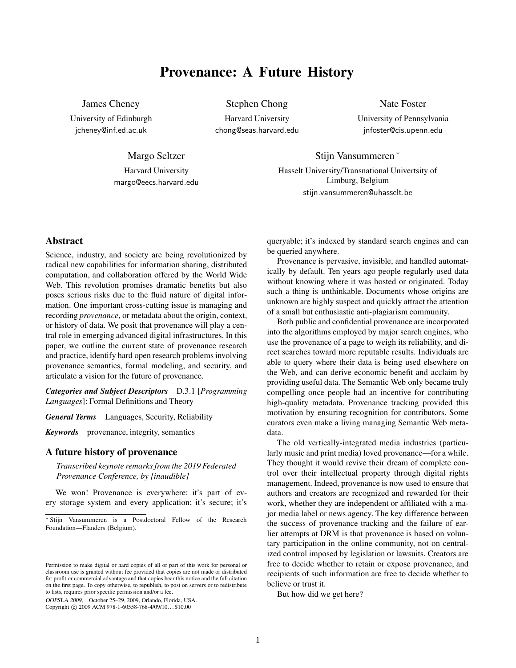# Provenance: A Future History

James Cheney

University of Edinburgh jcheney@inf.ed.ac.uk

Stephen Chong

Harvard University chong@seas.harvard.edu Nate Foster

University of Pennsylvania jnfoster@cis.upenn.edu

Margo Seltzer Harvard University

margo@eecs.harvard.edu

Hasselt University/Transnational Univertsity of Limburg, Belgium stijn.vansummeren@uhasselt.be

Stijn Vansummeren <sup>∗</sup>

# Abstract

Science, industry, and society are being revolutionized by radical new capabilities for information sharing, distributed computation, and collaboration offered by the World Wide Web. This revolution promises dramatic benefits but also poses serious risks due to the fluid nature of digital information. One important cross-cutting issue is managing and recording *provenance*, or metadata about the origin, context, or history of data. We posit that provenance will play a central role in emerging advanced digital infrastructures. In this paper, we outline the current state of provenance research and practice, identify hard open research problems involving provenance semantics, formal modeling, and security, and articulate a vision for the future of provenance.

*Categories and Subject Descriptors* D.3.1 [*Programming Languages*]: Formal Definitions and Theory

*General Terms* Languages, Security, Reliability

*Keywords* provenance, integrity, semantics

## A future history of provenance

*Transcribed keynote remarks from the 2019 Federated Provenance Conference, by [inaudible]*

We won! Provenance is everywhere: it's part of every storage system and every application; it's secure; it's

OOPSLA 2009, October 25–29, 2009, Orlando, Florida, USA. Copyright © 2009 ACM 978-1-60558-768-4/09/10... \$10.00

queryable; it's indexed by standard search engines and can be queried anywhere.

Provenance is pervasive, invisible, and handled automatically by default. Ten years ago people regularly used data without knowing where it was hosted or originated. Today such a thing is unthinkable. Documents whose origins are unknown are highly suspect and quickly attract the attention of a small but enthusiastic anti-plagiarism community.

Both public and confidential provenance are incorporated into the algorithms employed by major search engines, who use the provenance of a page to weigh its reliability, and direct searches toward more reputable results. Individuals are able to query where their data is being used elsewhere on the Web, and can derive economic benefit and acclaim by providing useful data. The Semantic Web only became truly compelling once people had an incentive for contributing high-quality metadata. Provenance tracking provided this motivation by ensuring recognition for contributors. Some curators even make a living managing Semantic Web metadata.

The old vertically-integrated media industries (particularly music and print media) loved provenance—for a while. They thought it would revive their dream of complete control over their intellectual property through digital rights management. Indeed, provenance is now used to ensure that authors and creators are recognized and rewarded for their work, whether they are independent or affiliated with a major media label or news agency. The key difference between the success of provenance tracking and the failure of earlier attempts at DRM is that provenance is based on voluntary participation in the online community, not on centralized control imposed by legislation or lawsuits. Creators are free to decide whether to retain or expose provenance, and recipients of such information are free to decide whether to believe or trust it.

But how did we get here?

<sup>∗</sup> Stijn Vansummeren is a Postdoctoral Fellow of the Research Foundation—Flanders (Belgium).

Permission to make digital or hard copies of all or part of this work for personal or classroom use is granted without fee provided that copies are not made or distributed for profit or commercial advantage and that copies bear this notice and the full citation on the first page. To copy otherwise, to republish, to post on servers or to redistribute to lists, requires prior specific permission and/or a fee.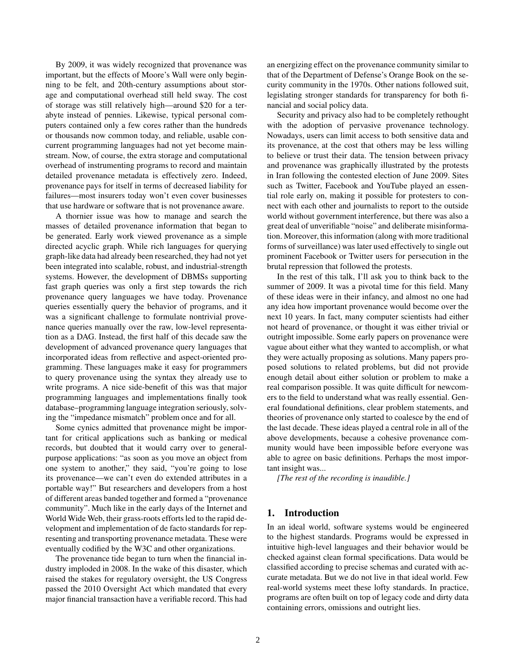By 2009, it was widely recognized that provenance was important, but the effects of Moore's Wall were only beginning to be felt, and 20th-century assumptions about storage and computational overhead still held sway. The cost of storage was still relatively high—around \$20 for a terabyte instead of pennies. Likewise, typical personal computers contained only a few cores rather than the hundreds or thousands now common today, and reliable, usable concurrent programming languages had not yet become mainstream. Now, of course, the extra storage and computational overhead of instrumenting programs to record and maintain detailed provenance metadata is effectively zero. Indeed, provenance pays for itself in terms of decreased liability for failures—most insurers today won't even cover businesses that use hardware or software that is not provenance aware.

A thornier issue was how to manage and search the masses of detailed provenance information that began to be generated. Early work viewed provenance as a simple directed acyclic graph. While rich languages for querying graph-like data had already been researched, they had not yet been integrated into scalable, robust, and industrial-strength systems. However, the development of DBMSs supporting fast graph queries was only a first step towards the rich provenance query languages we have today. Provenance queries essentially query the behavior of programs, and it was a significant challenge to formulate nontrivial provenance queries manually over the raw, low-level representation as a DAG. Instead, the first half of this decade saw the development of advanced provenance query languages that incorporated ideas from reflective and aspect-oriented programming. These languages make it easy for programmers to query provenance using the syntax they already use to write programs. A nice side-benefit of this was that major programming languages and implementations finally took database–programming language integration seriously, solving the "impedance mismatch" problem once and for all.

Some cynics admitted that provenance might be important for critical applications such as banking or medical records, but doubted that it would carry over to generalpurpose applications: "as soon as you move an object from one system to another," they said, "you're going to lose its provenance—we can't even do extended attributes in a portable way!" But researchers and developers from a host of different areas banded together and formed a "provenance community". Much like in the early days of the Internet and World Wide Web, their grass-roots efforts led to the rapid development and implementation of de facto standards for representing and transporting provenance metadata. These were eventually codified by the W3C and other organizations.

The provenance tide began to turn when the financial industry imploded in 2008. In the wake of this disaster, which raised the stakes for regulatory oversight, the US Congress passed the 2010 Oversight Act which mandated that every major financial transaction have a verifiable record. This had an energizing effect on the provenance community similar to that of the Department of Defense's Orange Book on the security community in the 1970s. Other nations followed suit, legislating stronger standards for transparency for both financial and social policy data.

Security and privacy also had to be completely rethought with the adoption of pervasive provenance technology. Nowadays, users can limit access to both sensitive data and its provenance, at the cost that others may be less willing to believe or trust their data. The tension between privacy and provenance was graphically illustrated by the protests in Iran following the contested election of June 2009. Sites such as Twitter, Facebook and YouTube played an essential role early on, making it possible for protesters to connect with each other and journalists to report to the outside world without government interference, but there was also a great deal of unverifiable "noise" and deliberate misinformation. Moreover, this information (along with more traditional forms of surveillance) was later used effectively to single out prominent Facebook or Twitter users for persecution in the brutal repression that followed the protests.

In the rest of this talk, I'll ask you to think back to the summer of 2009. It was a pivotal time for this field. Many of these ideas were in their infancy, and almost no one had any idea how important provenance would become over the next 10 years. In fact, many computer scientists had either not heard of provenance, or thought it was either trivial or outright impossible. Some early papers on provenance were vague about either what they wanted to accomplish, or what they were actually proposing as solutions. Many papers proposed solutions to related problems, but did not provide enough detail about either solution or problem to make a real comparison possible. It was quite difficult for newcomers to the field to understand what was really essential. General foundational definitions, clear problem statements, and theories of provenance only started to coalesce by the end of the last decade. These ideas played a central role in all of the above developments, because a cohesive provenance community would have been impossible before everyone was able to agree on basic definitions. Perhaps the most important insight was...

*[The rest of the recording is inaudible.]*

## 1. Introduction

In an ideal world, software systems would be engineered to the highest standards. Programs would be expressed in intuitive high-level languages and their behavior would be checked against clean formal specifications. Data would be classified according to precise schemas and curated with accurate metadata. But we do not live in that ideal world. Few real-world systems meet these lofty standards. In practice, programs are often built on top of legacy code and dirty data containing errors, omissions and outright lies.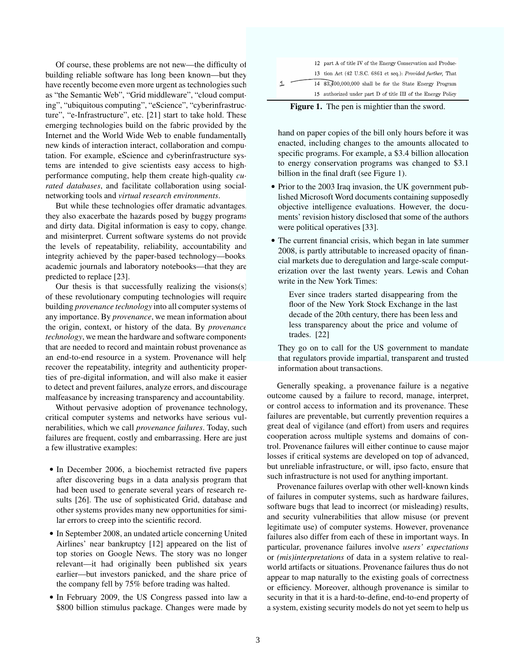Of course, these problems are not new—the difficulty of building reliable software has long been known—but they have recently become even more urgent as technologies such as "the Semantic Web", "Grid middleware", "cloud computing", "ubiquitous computing", "eScience", "cyberinfrastructure", "e-Infrastructure", etc. [21] start to take hold. These emerging technologies build on the fabric provided by the Internet and the World Wide Web to enable fundamentally new kinds of interaction interact, collaboration and computation. For example, eScience and cyberinfrastructure systems are intended to give scientists easy access to highperformance computing, help them create high-quality *curated databases*, and facilitate collaboration using socialnetworking tools and *virtual research environments*.

But while these technologies offer dramatic advantages. they also exacerbate the hazards posed by buggy programs and dirty data. Digital information is easy to copy, change, and misinterpret. Current software systems do not provide the levels of repeatability, reliability, accountability and integrity achieved by the paper-based technology—books, academic journals and laboratory notebooks—that they are predicted to replace [23].

Our thesis is that successfully realizing the visions(s) of these revolutionary computing technologies will require building *provenance technology* into all computer systems of any importance. By *provenance*, we mean information about the origin, context, or history of the data. By *provenance technology*, we mean the hardware and software components that are needed to record and maintain robust provenance as an end-to-end resource in a system. Provenance will help recover the repeatability, integrity and authenticity properties of pre-digital information, and will also make it easier to detect and prevent failures, analyze errors, and discourage malfeasance by increasing transparency and accountability.

Without pervasive adoption of provenance technology, critical computer systems and networks have serious vulnerabilities, which we call *provenance failures*. Today, such failures are frequent, costly and embarrassing. Here are just a few illustrative examples:

- In December 2006, a biochemist retracted five papers after discovering bugs in a data analysis program that had been used to generate several years of research results [26]. The use of sophisticated Grid, database and other systems provides many new opportunities for similar errors to creep into the scientific record.
- In September 2008, an undated article concerning United Airlines' near bankruptcy [12] appeared on the list of top stories on Google News. The story was no longer relevant—it had originally been published six years earlier—but investors panicked, and the share price of the company fell by 75% before trading was halted.
- In February 2009, the US Congress passed into law a \$800 billion stimulus package. Changes were made by

|  | 12 part A of title IV of the Energy Conservation and Produc- |
|--|--------------------------------------------------------------|
|  | 13 tion Act (42 U.S.C. 6861 et seq.): Provided further, That |
|  | 14 \$3,400,000,000 shall be for the State Energy Program     |
|  | 15 authorized under part D of title III of the Energy Policy |

Figure 1. The pen is mightier than the sword.

hand on paper copies of the bill only hours before it was enacted, including changes to the amounts allocated to specific programs. For example, a \$3.4 billion allocation to energy conservation programs was changed to \$3.1 billion in the final draft (see Figure 1).

- Prior to the 2003 Iraq invasion, the UK government published Microsoft Word documents containing supposedly objective intelligence evaluations. However, the documents' revision history disclosed that some of the authors were political operatives [33].
- The current financial crisis, which began in late summer 2008, is partly attributable to increased opacity of financial markets due to deregulation and large-scale computerization over the last twenty years. Lewis and Cohan write in the New York Times:

Ever since traders started disappearing from the floor of the New York Stock Exchange in the last decade of the 20th century, there has been less and less transparency about the price and volume of trades. [22]

They go on to call for the US government to mandate that regulators provide impartial, transparent and trusted information about transactions.

Generally speaking, a provenance failure is a negative outcome caused by a failure to record, manage, interpret, or control access to information and its provenance. These failures are preventable, but currently prevention requires a great deal of vigilance (and effort) from users and requires cooperation across multiple systems and domains of control. Provenance failures will either continue to cause major losses if critical systems are developed on top of advanced, but unreliable infrastructure, or will, ipso facto, ensure that such infrastructure is not used for anything important.

Provenance failures overlap with other well-known kinds of failures in computer systems, such as hardware failures, software bugs that lead to incorrect (or misleading) results, and security vulnerabilities that allow misuse (or prevent legitimate use) of computer systems. However, provenance failures also differ from each of these in important ways. In particular, provenance failures involve *users' expectations* or *(mis)interpretations* of data in a system relative to realworld artifacts or situations. Provenance failures thus do not appear to map naturally to the existing goals of correctness or efficiency. Moreover, although provenance is similar to security in that it is a hard-to-define, end-to-end property of a system, existing security models do not yet seem to help us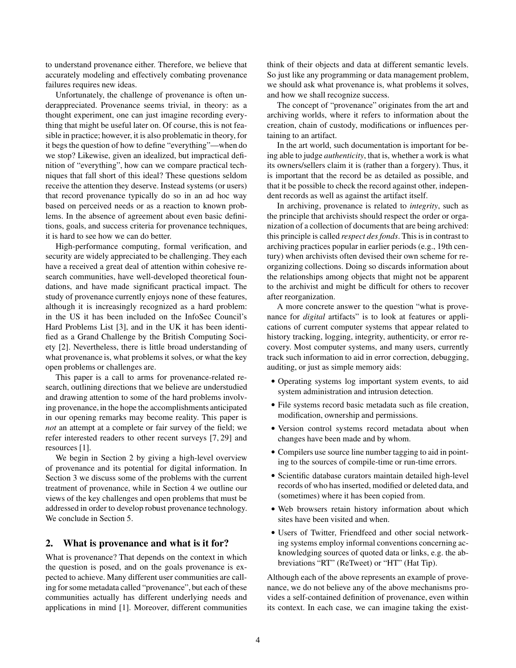to understand provenance either. Therefore, we believe that accurately modeling and effectively combating provenance failures requires new ideas.

Unfortunately, the challenge of provenance is often underappreciated. Provenance seems trivial, in theory: as a thought experiment, one can just imagine recording everything that might be useful later on. Of course, this is not feasible in practice; however, it is also problematic in theory, for it begs the question of how to define "everything"—when do we stop? Likewise, given an idealized, but impractical definition of "everything", how can we compare practical techniques that fall short of this ideal? These questions seldom receive the attention they deserve. Instead systems (or users) that record provenance typically do so in an ad hoc way based on perceived needs or as a reaction to known problems. In the absence of agreement about even basic definitions, goals, and success criteria for provenance techniques, it is hard to see how we can do better.

High-performance computing, formal verification, and security are widely appreciated to be challenging. They each have a received a great deal of attention within cohesive research communities, have well-developed theoretical foundations, and have made significant practical impact. The study of provenance currently enjoys none of these features, although it is increasingly recognized as a hard problem: in the US it has been included on the InfoSec Council's Hard Problems List [3], and in the UK it has been identified as a Grand Challenge by the British Computing Society [2]. Nevertheless, there is little broad understanding of what provenance is, what problems it solves, or what the key open problems or challenges are.

This paper is a call to arms for provenance-related research, outlining directions that we believe are understudied and drawing attention to some of the hard problems involving provenance, in the hope the accomplishments anticipated in our opening remarks may become reality. This paper is *not* an attempt at a complete or fair survey of the field; we refer interested readers to other recent surveys [7, 29] and resources [1].

We begin in Section 2 by giving a high-level overview of provenance and its potential for digital information. In Section 3 we discuss some of the problems with the current treatment of provenance, while in Section 4 we outline our views of the key challenges and open problems that must be addressed in order to develop robust provenance technology. We conclude in Section 5.

# 2. What is provenance and what is it for?

What is provenance? That depends on the context in which the question is posed, and on the goals provenance is expected to achieve. Many different user communities are calling for some metadata called "provenance", but each of these communities actually has different underlying needs and applications in mind [1]. Moreover, different communities think of their objects and data at different semantic levels. So just like any programming or data management problem, we should ask what provenance is, what problems it solves, and how we shall recognize success.

The concept of "provenance" originates from the art and archiving worlds, where it refers to information about the creation, chain of custody, modifications or influences pertaining to an artifact.

In the art world, such documentation is important for being able to judge *authenticity*, that is, whether a work is what its owners/sellers claim it is (rather than a forgery). Thus, it is important that the record be as detailed as possible, and that it be possible to check the record against other, independent records as well as against the artifact itself.

In archiving, provenance is related to *integrity*, such as the principle that archivists should respect the order or organization of a collection of documents that are being archived: this principle is called *respect des fonds*. This is in contrast to archiving practices popular in earlier periods (e.g., 19th century) when archivists often devised their own scheme for reorganizing collections. Doing so discards information about the relationships among objects that might not be apparent to the archivist and might be difficult for others to recover after reorganization.

A more concrete answer to the question "what is provenance for *digital* artifacts" is to look at features or applications of current computer systems that appear related to history tracking, logging, integrity, authenticity, or error recovery. Most computer systems, and many users, currently track such information to aid in error correction, debugging, auditing, or just as simple memory aids:

- Operating systems log important system events, to aid system administration and intrusion detection.
- File systems record basic metadata such as file creation, modification, ownership and permissions.
- Version control systems record metadata about when changes have been made and by whom.
- Compilers use source line number tagging to aid in pointing to the sources of compile-time or run-time errors.
- Scientific database curators maintain detailed high-level records of who has inserted, modified or deleted data, and (sometimes) where it has been copied from.
- Web browsers retain history information about which sites have been visited and when.
- Users of Twitter, Friendfeed and other social networking systems employ informal conventions concerning acknowledging sources of quoted data or links, e.g. the abbreviations "RT" (ReTweet) or "HT" (Hat Tip).

Although each of the above represents an example of provenance, we do not believe any of the above mechanisms provides a self-contained definition of provenance, even within its context. In each case, we can imagine taking the exist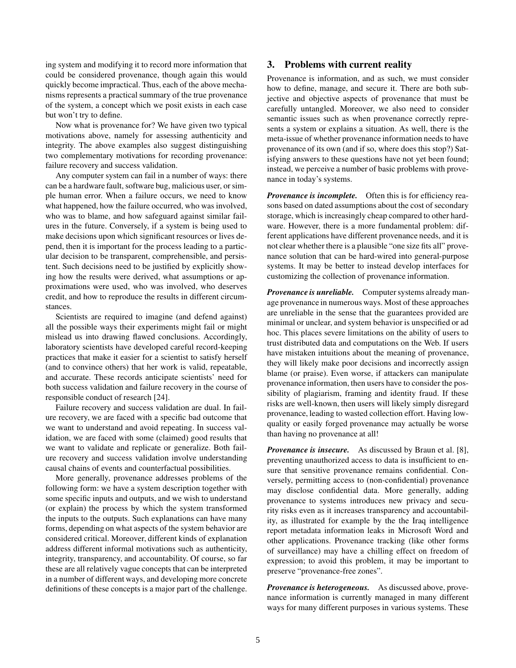ing system and modifying it to record more information that could be considered provenance, though again this would quickly become impractical. Thus, each of the above mechanisms represents a practical summary of the true provenance of the system, a concept which we posit exists in each case but won't try to define.

Now what is provenance for? We have given two typical motivations above, namely for assessing authenticity and integrity. The above examples also suggest distinguishing two complementary motivations for recording provenance: failure recovery and success validation.

Any computer system can fail in a number of ways: there can be a hardware fault, software bug, malicious user, or simple human error. When a failure occurs, we need to know what happened, how the failure occurred, who was involved, who was to blame, and how safeguard against similar failures in the future. Conversely, if a system is being used to make decisions upon which significant resources or lives depend, then it is important for the process leading to a particular decision to be transparent, comprehensible, and persistent. Such decisions need to be justified by explicitly showing how the results were derived, what assumptions or approximations were used, who was involved, who deserves credit, and how to reproduce the results in different circumstances.

Scientists are required to imagine (and defend against) all the possible ways their experiments might fail or might mislead us into drawing flawed conclusions. Accordingly, laboratory scientists have developed careful record-keeping practices that make it easier for a scientist to satisfy herself (and to convince others) that her work is valid, repeatable, and accurate. These records anticipate scientists' need for both success validation and failure recovery in the course of responsible conduct of research [24].

Failure recovery and success validation are dual. In failure recovery, we are faced with a specific bad outcome that we want to understand and avoid repeating. In success validation, we are faced with some (claimed) good results that we want to validate and replicate or generalize. Both failure recovery and success validation involve understanding causal chains of events and counterfactual possibilities.

More generally, provenance addresses problems of the following form: we have a system description together with some specific inputs and outputs, and we wish to understand (or explain) the process by which the system transformed the inputs to the outputs. Such explanations can have many forms, depending on what aspects of the system behavior are considered critical. Moreover, different kinds of explanation address different informal motivations such as authenticity, integrity, transparency, and accountability. Of course, so far these are all relatively vague concepts that can be interpreted in a number of different ways, and developing more concrete definitions of these concepts is a major part of the challenge.

# 3. Problems with current reality

Provenance is information, and as such, we must consider how to define, manage, and secure it. There are both subjective and objective aspects of provenance that must be carefully untangled. Moreover, we also need to consider semantic issues such as when provenance correctly represents a system or explains a situation. As well, there is the meta-issue of whether provenance information needs to have provenance of its own (and if so, where does this stop?) Satisfying answers to these questions have not yet been found; instead, we perceive a number of basic problems with provenance in today's systems.

*Provenance is incomplete.* Often this is for efficiency reasons based on dated assumptions about the cost of secondary storage, which is increasingly cheap compared to other hardware. However, there is a more fundamental problem: different applications have different provenance needs, and it is not clear whether there is a plausible "one size fits all" provenance solution that can be hard-wired into general-purpose systems. It may be better to instead develop interfaces for customizing the collection of provenance information.

*Provenance is unreliable.* Computer systems already manage provenance in numerous ways. Most of these approaches are unreliable in the sense that the guarantees provided are minimal or unclear, and system behavior is unspecified or ad hoc. This places severe limitations on the ability of users to trust distributed data and computations on the Web. If users have mistaken intuitions about the meaning of provenance, they will likely make poor decisions and incorrectly assign blame (or praise). Even worse, if attackers can manipulate provenance information, then users have to consider the possibility of plagiarism, framing and identity fraud. If these risks are well-known, then users will likely simply disregard provenance, leading to wasted collection effort. Having lowquality or easily forged provenance may actually be worse than having no provenance at all!

*Provenance is insecure.* As discussed by Braun et al. [8], preventing unauthorized access to data is insufficient to ensure that sensitive provenance remains confidential. Conversely, permitting access to (non-confidential) provenance may disclose confidential data. More generally, adding provenance to systems introduces new privacy and security risks even as it increases transparency and accountability, as illustrated for example by the the Iraq intelligence report metadata information leaks in Microsoft Word and other applications. Provenance tracking (like other forms of surveillance) may have a chilling effect on freedom of expression; to avoid this problem, it may be important to preserve "provenance-free zones".

*Provenance is heterogeneous.* As discussed above, provenance information is currently managed in many different ways for many different purposes in various systems. These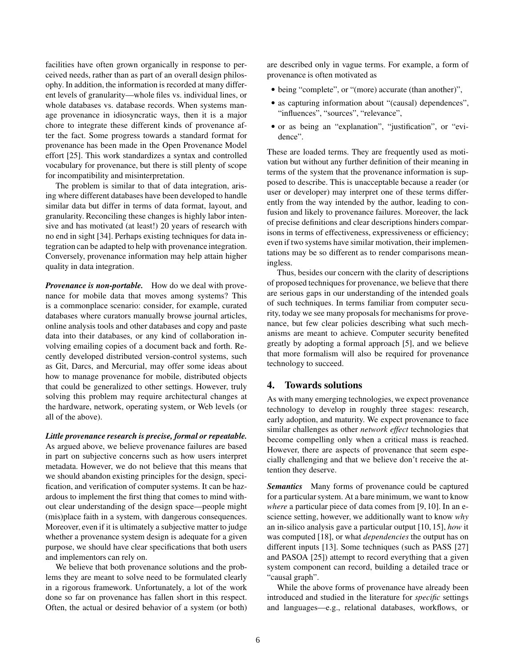facilities have often grown organically in response to perceived needs, rather than as part of an overall design philosophy. In addition, the information is recorded at many different levels of granularity—whole files vs. individual lines, or whole databases vs. database records. When systems manage provenance in idiosyncratic ways, then it is a major chore to integrate these different kinds of provenance after the fact. Some progress towards a standard format for provenance has been made in the Open Provenance Model effort [25]. This work standardizes a syntax and controlled vocabulary for provenance, but there is still plenty of scope for incompatibility and misinterpretation.

The problem is similar to that of data integration, arising where different databases have been developed to handle similar data but differ in terms of data format, layout, and granularity. Reconciling these changes is highly labor intensive and has motivated (at least!) 20 years of research with no end in sight [34]. Perhaps existing techniques for data integration can be adapted to help with provenance integration. Conversely, provenance information may help attain higher quality in data integration.

*Provenance is non-portable.* How do we deal with provenance for mobile data that moves among systems? This is a commonplace scenario: consider, for example, curated databases where curators manually browse journal articles, online analysis tools and other databases and copy and paste data into their databases, or any kind of collaboration involving emailing copies of a document back and forth. Recently developed distributed version-control systems, such as Git, Darcs, and Mercurial, may offer some ideas about how to manage provenance for mobile, distributed objects that could be generalized to other settings. However, truly solving this problem may require architectural changes at the hardware, network, operating system, or Web levels (or all of the above).

#### *Little provenance research is precise, formal or repeatable.*

As argued above, we believe provenance failures are based in part on subjective concerns such as how users interpret metadata. However, we do not believe that this means that we should abandon existing principles for the design, specification, and verification of computer systems. It can be hazardous to implement the first thing that comes to mind without clear understanding of the design space—people might (mis)place faith in a system, with dangerous consequences. Moreover, even if it is ultimately a subjective matter to judge whether a provenance system design is adequate for a given purpose, we should have clear specifications that both users and implementors can rely on.

We believe that both provenance solutions and the problems they are meant to solve need to be formulated clearly in a rigorous framework. Unfortunately, a lot of the work done so far on provenance has fallen short in this respect. Often, the actual or desired behavior of a system (or both)

are described only in vague terms. For example, a form of provenance is often motivated as

- being "complete", or "(more) accurate (than another)",
- as capturing information about "(causal) dependences", "influences", "sources", "relevance",
- or as being an "explanation", "justification", or "evidence".

These are loaded terms. They are frequently used as motivation but without any further definition of their meaning in terms of the system that the provenance information is supposed to describe. This is unacceptable because a reader (or user or developer) may interpret one of these terms differently from the way intended by the author, leading to confusion and likely to provenance failures. Moreover, the lack of precise definitions and clear descriptions hinders comparisons in terms of effectiveness, expressiveness or efficiency; even if two systems have similar motivation, their implementations may be so different as to render comparisons meaningless.

Thus, besides our concern with the clarity of descriptions of proposed techniques for provenance, we believe that there are serious gaps in our understanding of the intended goals of such techniques. In terms familiar from computer security, today we see many proposals for mechanisms for provenance, but few clear policies describing what such mechanisms are meant to achieve. Computer security benefited greatly by adopting a formal approach [5], and we believe that more formalism will also be required for provenance technology to succeed.

## 4. Towards solutions

As with many emerging technologies, we expect provenance technology to develop in roughly three stages: research, early adoption, and maturity. We expect provenance to face similar challenges as other *network effect* technologies that become compelling only when a critical mass is reached. However, there are aspects of provenance that seem especially challenging and that we believe don't receive the attention they deserve.

*Semantics* Many forms of provenance could be captured for a particular system. At a bare minimum, we want to know *where* a particular piece of data comes from [9, 10]. In an escience setting, however, we additionally want to know *why* an in-silico analysis gave a particular output [10, 15], *how* it was computed [18], or what *dependencies* the output has on different inputs [13]. Some techniques (such as PASS [27] and PASOA [25]) attempt to record everything that a given system component can record, building a detailed trace or "causal graph".

While the above forms of provenance have already been introduced and studied in the literature for *specific* settings and languages—e.g., relational databases, workflows, or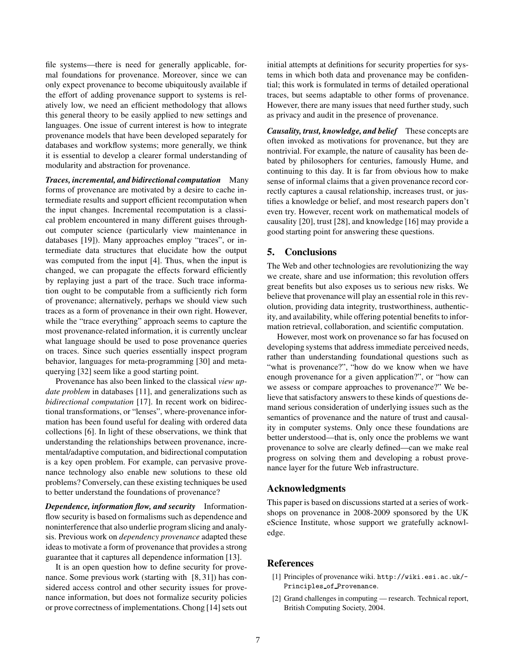file systems—there is need for generally applicable, formal foundations for provenance. Moreover, since we can only expect provenance to become ubiquitously available if the effort of adding provenance support to systems is relatively low, we need an efficient methodology that allows this general theory to be easily applied to new settings and languages. One issue of current interest is how to integrate provenance models that have been developed separately for databases and workflow systems; more generally, we think it is essential to develop a clearer formal understanding of modularity and abstraction for provenance.

*Traces, incremental, and bidirectional computation* Many forms of provenance are motivated by a desire to cache intermediate results and support efficient recomputation when the input changes. Incremental recomputation is a classical problem encountered in many different guises throughout computer science (particularly view maintenance in databases [19]). Many approaches employ "traces", or intermediate data structures that elucidate how the output was computed from the input [4]. Thus, when the input is changed, we can propagate the effects forward efficiently by replaying just a part of the trace. Such trace information ought to be computable from a sufficiently rich form of provenance; alternatively, perhaps we should view such traces as a form of provenance in their own right. However, while the "trace everything" approach seems to capture the most provenance-related information, it is currently unclear what language should be used to pose provenance queries on traces. Since such queries essentially inspect program behavior, languages for meta-programming [30] and metaquerying [32] seem like a good starting point.

Provenance has also been linked to the classical *view update problem* in databases [11], and generalizations such as *bidirectional computation* [17]. In recent work on bidirectional transformations, or "lenses", where-provenance information has been found useful for dealing with ordered data collections [6]. In light of these observations, we think that understanding the relationships between provenance, incremental/adaptive computation, and bidirectional computation is a key open problem. For example, can pervasive provenance technology also enable new solutions to these old problems? Conversely, can these existing techniques be used to better understand the foundations of provenance?

*Dependence, information flow, and security* Informationflow security is based on formalisms such as dependence and noninterference that also underlie program slicing and analysis. Previous work on *dependency provenance* adapted these ideas to motivate a form of provenance that provides a strong guarantee that it captures all dependence information [13].

It is an open question how to define security for provenance. Some previous work (starting with [8, 31]) has considered access control and other security issues for provenance information, but does not formalize security policies or prove correctness of implementations. Chong [14] sets out initial attempts at definitions for security properties for systems in which both data and provenance may be confidential; this work is formulated in terms of detailed operational traces, but seems adaptable to other forms of provenance. However, there are many issues that need further study, such as privacy and audit in the presence of provenance.

*Causality, trust, knowledge, and belief* These concepts are often invoked as motivations for provenance, but they are nontrivial. For example, the nature of causality has been debated by philosophers for centuries, famously Hume, and continuing to this day. It is far from obvious how to make sense of informal claims that a given provenance record correctly captures a causal relationship, increases trust, or justifies a knowledge or belief, and most research papers don't even try. However, recent work on mathematical models of causality [20], trust [28], and knowledge [16] may provide a good starting point for answering these questions.

## 5. Conclusions

The Web and other technologies are revolutionizing the way we create, share and use information; this revolution offers great benefits but also exposes us to serious new risks. We believe that provenance will play an essential role in this revolution, providing data integrity, trustworthiness, authenticity, and availability, while offering potential benefits to information retrieval, collaboration, and scientific computation.

However, most work on provenance so far has focused on developing systems that address immediate perceived needs, rather than understanding foundational questions such as "what is provenance?", "how do we know when we have enough provenance for a given application?", or "how can we assess or compare approaches to provenance?" We believe that satisfactory answers to these kinds of questions demand serious consideration of underlying issues such as the semantics of provenance and the nature of trust and causality in computer systems. Only once these foundations are better understood—that is, only once the problems we want provenance to solve are clearly defined—can we make real progress on solving them and developing a robust provenance layer for the future Web infrastructure.

### Acknowledgments

This paper is based on discussions started at a series of workshops on provenance in 2008-2009 sponsored by the UK eScience Institute, whose support we gratefully acknowledge.

# References

- [1] Principles of provenance wiki. http://wiki.esi.ac.uk/- Principles of Provenance.
- [2] Grand challenges in computing research. Technical report, British Computing Society, 2004.